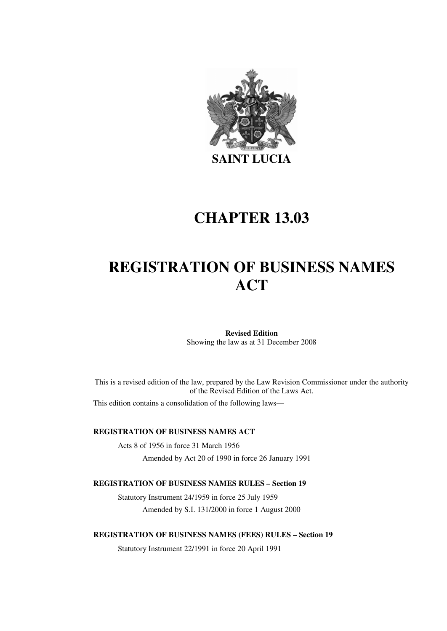

# **CHAPTER 13.03**

# **REGISTRATION OF BUSINESS NAMES ACT**

**Revised Edition**  Showing the law as at 31 December 2008

This is a revised edition of the law, prepared by the Law Revision Commissioner under the authority of the Revised Edition of the Laws Act.

This edition contains a consolidation of the following laws—

#### **REGISTRATION OF BUSINESS NAMES ACT**

Acts 8 of 1956 in force 31 March 1956 Amended by Act 20 of 1990 in force 26 January 1991

#### **REGISTRATION OF BUSINESS NAMES RULES – Section 19**

Statutory Instrument 24/1959 in force 25 July 1959 Amended by S.I. 131/2000 in force 1 August 2000

**REGISTRATION OF BUSINESS NAMES (FEES) RULES – Section 19** 

Statutory Instrument 22/1991 in force 20 April 1991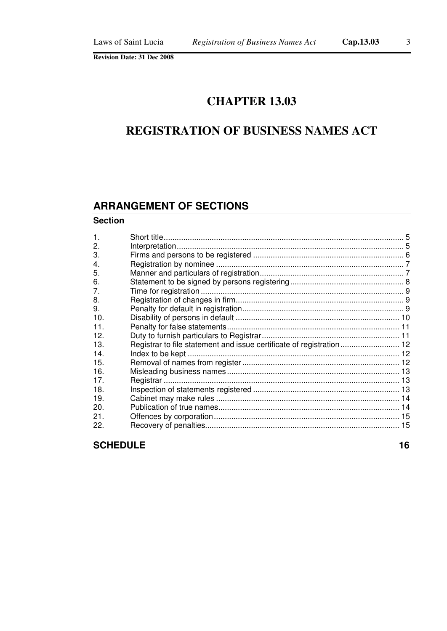# **CHAPTER 13.03**

# **REGISTRATION OF BUSINESS NAMES ACT**

# **ARRANGEMENT OF SECTIONS**

#### **Section**

| Registrar to file statement and issue certificate of registration 12 |
|----------------------------------------------------------------------|

**SCHEDULE** 16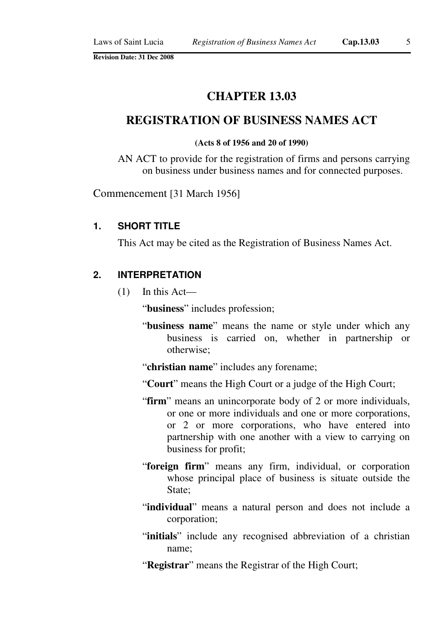# **CHAPTER 13.03**

# **REGISTRATION OF BUSINESS NAMES ACT**

#### **(Acts 8 of 1956 and 20 of 1990)**

AN ACT to provide for the registration of firms and persons carrying on business under business names and for connected purposes.

Commencement [31 March 1956]

## **1. SHORT TITLE**

This Act may be cited as the Registration of Business Names Act.

## **2. INTERPRETATION**

 $(1)$  In this Act—

"**business**" includes profession;

- "**business name**" means the name or style under which any business is carried on, whether in partnership or otherwise;
- "**christian name**" includes any forename;
- "**Court**" means the High Court or a judge of the High Court;
- "**firm**" means an unincorporate body of 2 or more individuals, or one or more individuals and one or more corporations, or 2 or more corporations, who have entered into partnership with one another with a view to carrying on business for profit;
- "**foreign firm**" means any firm, individual, or corporation whose principal place of business is situate outside the State:
- "**individual**" means a natural person and does not include a corporation;
- "initials" include any recognised abbreviation of a christian name;
- "**Registrar**" means the Registrar of the High Court;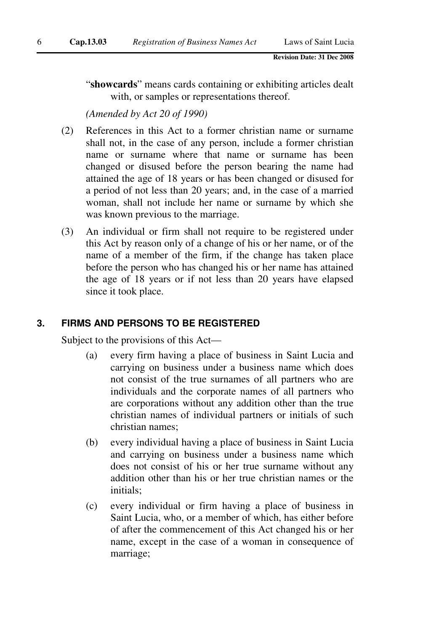"**showcards**" means cards containing or exhibiting articles dealt with, or samples or representations thereof.

*(Amended by Act 20 of 1990)* 

- (2) References in this Act to a former christian name or surname shall not, in the case of any person, include a former christian name or surname where that name or surname has been changed or disused before the person bearing the name had attained the age of 18 years or has been changed or disused for a period of not less than 20 years; and, in the case of a married woman, shall not include her name or surname by which she was known previous to the marriage.
- (3) An individual or firm shall not require to be registered under this Act by reason only of a change of his or her name, or of the name of a member of the firm, if the change has taken place before the person who has changed his or her name has attained the age of 18 years or if not less than 20 years have elapsed since it took place.

## **3. FIRMS AND PERSONS TO BE REGISTERED**

Subject to the provisions of this Act—

- (a) every firm having a place of business in Saint Lucia and carrying on business under a business name which does not consist of the true surnames of all partners who are individuals and the corporate names of all partners who are corporations without any addition other than the true christian names of individual partners or initials of such christian names;
- (b) every individual having a place of business in Saint Lucia and carrying on business under a business name which does not consist of his or her true surname without any addition other than his or her true christian names or the initials;
- (c) every individual or firm having a place of business in Saint Lucia, who, or a member of which, has either before of after the commencement of this Act changed his or her name, except in the case of a woman in consequence of marriage;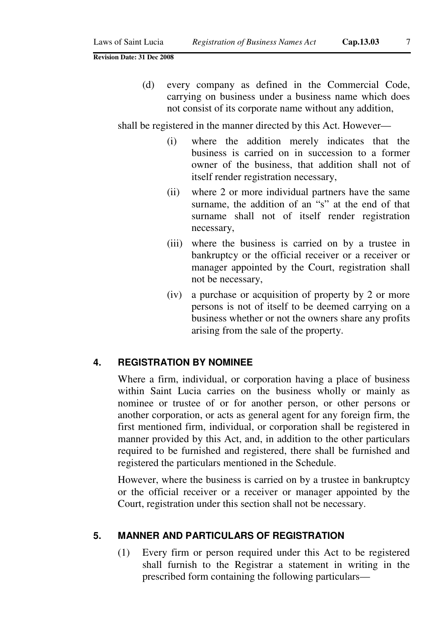(d) every company as defined in the Commercial Code, carrying on business under a business name which does not consist of its corporate name without any addition,

shall be registered in the manner directed by this Act. However—

- (i) where the addition merely indicates that the business is carried on in succession to a former owner of the business, that addition shall not of itself render registration necessary,
- (ii) where 2 or more individual partners have the same surname, the addition of an "s" at the end of that surname shall not of itself render registration necessary,
- (iii) where the business is carried on by a trustee in bankruptcy or the official receiver or a receiver or manager appointed by the Court, registration shall not be necessary,
- (iv) a purchase or acquisition of property by 2 or more persons is not of itself to be deemed carrying on a business whether or not the owners share any profits arising from the sale of the property.

#### **4. REGISTRATION BY NOMINEE**

Where a firm, individual, or corporation having a place of business within Saint Lucia carries on the business wholly or mainly as nominee or trustee of or for another person, or other persons or another corporation, or acts as general agent for any foreign firm, the first mentioned firm, individual, or corporation shall be registered in manner provided by this Act, and, in addition to the other particulars required to be furnished and registered, there shall be furnished and registered the particulars mentioned in the Schedule.

However, where the business is carried on by a trustee in bankruptcy or the official receiver or a receiver or manager appointed by the Court, registration under this section shall not be necessary.

## **5. MANNER AND PARTICULARS OF REGISTRATION**

(1) Every firm or person required under this Act to be registered shall furnish to the Registrar a statement in writing in the prescribed form containing the following particulars—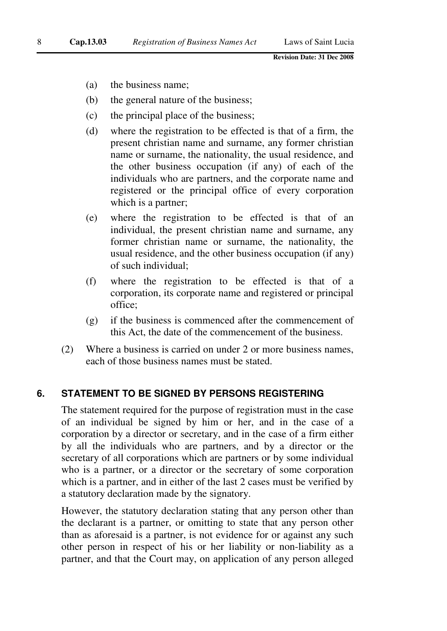- (a) the business name;
- (b) the general nature of the business;
- (c) the principal place of the business;
- (d) where the registration to be effected is that of a firm, the present christian name and surname, any former christian name or surname, the nationality, the usual residence, and the other business occupation (if any) of each of the individuals who are partners, and the corporate name and registered or the principal office of every corporation which is a partner;
- (e) where the registration to be effected is that of an individual, the present christian name and surname, any former christian name or surname, the nationality, the usual residence, and the other business occupation (if any) of such individual;
- (f) where the registration to be effected is that of a corporation, its corporate name and registered or principal office;
- (g) if the business is commenced after the commencement of this Act, the date of the commencement of the business.
- (2) Where a business is carried on under 2 or more business names, each of those business names must be stated.

## **6. STATEMENT TO BE SIGNED BY PERSONS REGISTERING**

The statement required for the purpose of registration must in the case of an individual be signed by him or her, and in the case of a corporation by a director or secretary, and in the case of a firm either by all the individuals who are partners, and by a director or the secretary of all corporations which are partners or by some individual who is a partner, or a director or the secretary of some corporation which is a partner, and in either of the last 2 cases must be verified by a statutory declaration made by the signatory.

However, the statutory declaration stating that any person other than the declarant is a partner, or omitting to state that any person other than as aforesaid is a partner, is not evidence for or against any such other person in respect of his or her liability or non-liability as a partner, and that the Court may, on application of any person alleged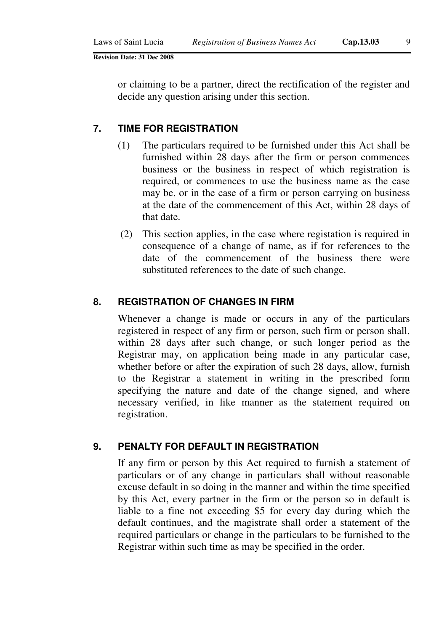or claiming to be a partner, direct the rectification of the register and decide any question arising under this section.

## **7. TIME FOR REGISTRATION**

- (1) The particulars required to be furnished under this Act shall be furnished within 28 days after the firm or person commences business or the business in respect of which registration is required, or commences to use the business name as the case may be, or in the case of a firm or person carrying on business at the date of the commencement of this Act, within 28 days of that date.
- (2) This section applies, in the case where registation is required in consequence of a change of name, as if for references to the date of the commencement of the business there were substituted references to the date of such change.

## **8. REGISTRATION OF CHANGES IN FIRM**

Whenever a change is made or occurs in any of the particulars registered in respect of any firm or person, such firm or person shall, within 28 days after such change, or such longer period as the Registrar may, on application being made in any particular case, whether before or after the expiration of such 28 days, allow, furnish to the Registrar a statement in writing in the prescribed form specifying the nature and date of the change signed, and where necessary verified, in like manner as the statement required on registration.

#### **9. PENALTY FOR DEFAULT IN REGISTRATION**

If any firm or person by this Act required to furnish a statement of particulars or of any change in particulars shall without reasonable excuse default in so doing in the manner and within the time specified by this Act, every partner in the firm or the person so in default is liable to a fine not exceeding \$5 for every day during which the default continues, and the magistrate shall order a statement of the required particulars or change in the particulars to be furnished to the Registrar within such time as may be specified in the order.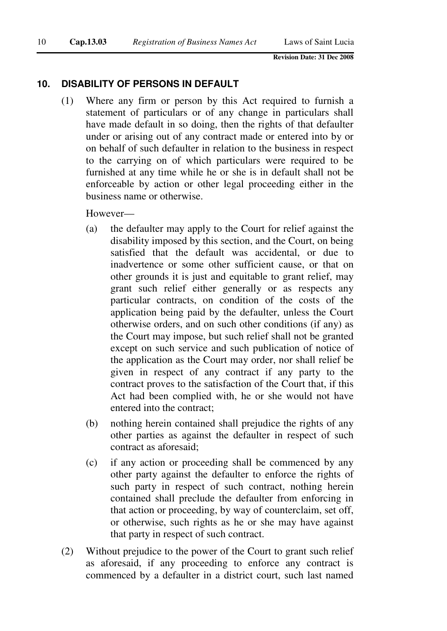## **10. DISABILITY OF PERSONS IN DEFAULT**

(1) Where any firm or person by this Act required to furnish a statement of particulars or of any change in particulars shall have made default in so doing, then the rights of that defaulter under or arising out of any contract made or entered into by or on behalf of such defaulter in relation to the business in respect to the carrying on of which particulars were required to be furnished at any time while he or she is in default shall not be enforceable by action or other legal proceeding either in the business name or otherwise.

However—

- (a) the defaulter may apply to the Court for relief against the disability imposed by this section, and the Court, on being satisfied that the default was accidental, or due to inadvertence or some other sufficient cause, or that on other grounds it is just and equitable to grant relief, may grant such relief either generally or as respects any particular contracts, on condition of the costs of the application being paid by the defaulter, unless the Court otherwise orders, and on such other conditions (if any) as the Court may impose, but such relief shall not be granted except on such service and such publication of notice of the application as the Court may order, nor shall relief be given in respect of any contract if any party to the contract proves to the satisfaction of the Court that, if this Act had been complied with, he or she would not have entered into the contract;
- (b) nothing herein contained shall prejudice the rights of any other parties as against the defaulter in respect of such contract as aforesaid;
- (c) if any action or proceeding shall be commenced by any other party against the defaulter to enforce the rights of such party in respect of such contract, nothing herein contained shall preclude the defaulter from enforcing in that action or proceeding, by way of counterclaim, set off, or otherwise, such rights as he or she may have against that party in respect of such contract.
- (2) Without prejudice to the power of the Court to grant such relief as aforesaid, if any proceeding to enforce any contract is commenced by a defaulter in a district court, such last named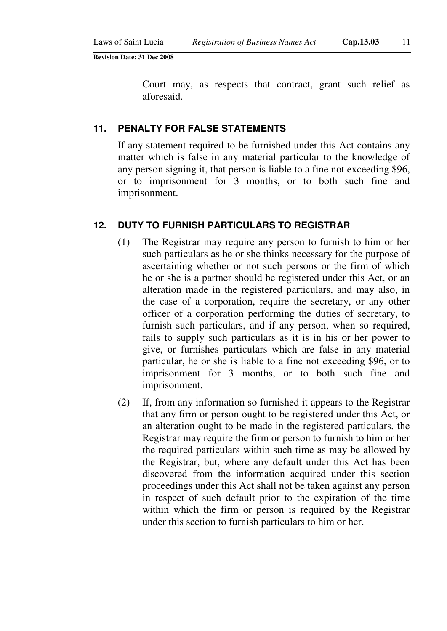Court may, as respects that contract, grant such relief as aforesaid.

### **11. PENALTY FOR FALSE STATEMENTS**

If any statement required to be furnished under this Act contains any matter which is false in any material particular to the knowledge of any person signing it, that person is liable to a fine not exceeding \$96, or to imprisonment for 3 months, or to both such fine and imprisonment.

#### **12. DUTY TO FURNISH PARTICULARS TO REGISTRAR**

- (1) The Registrar may require any person to furnish to him or her such particulars as he or she thinks necessary for the purpose of ascertaining whether or not such persons or the firm of which he or she is a partner should be registered under this Act, or an alteration made in the registered particulars, and may also, in the case of a corporation, require the secretary, or any other officer of a corporation performing the duties of secretary, to furnish such particulars, and if any person, when so required, fails to supply such particulars as it is in his or her power to give, or furnishes particulars which are false in any material particular, he or she is liable to a fine not exceeding \$96, or to imprisonment for 3 months, or to both such fine and imprisonment.
- (2) If, from any information so furnished it appears to the Registrar that any firm or person ought to be registered under this Act, or an alteration ought to be made in the registered particulars, the Registrar may require the firm or person to furnish to him or her the required particulars within such time as may be allowed by the Registrar, but, where any default under this Act has been discovered from the information acquired under this section proceedings under this Act shall not be taken against any person in respect of such default prior to the expiration of the time within which the firm or person is required by the Registrar under this section to furnish particulars to him or her.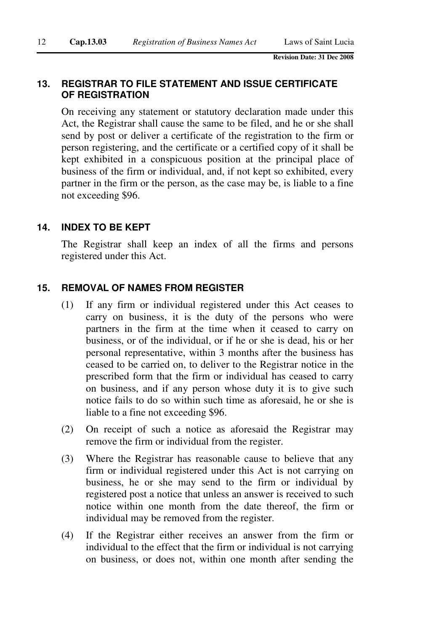## **13. REGISTRAR TO FILE STATEMENT AND ISSUE CERTIFICATE OF REGISTRATION**

On receiving any statement or statutory declaration made under this Act, the Registrar shall cause the same to be filed, and he or she shall send by post or deliver a certificate of the registration to the firm or person registering, and the certificate or a certified copy of it shall be kept exhibited in a conspicuous position at the principal place of business of the firm or individual, and, if not kept so exhibited, every partner in the firm or the person, as the case may be, is liable to a fine not exceeding \$96.

## **14. INDEX TO BE KEPT**

The Registrar shall keep an index of all the firms and persons registered under this Act.

## **15. REMOVAL OF NAMES FROM REGISTER**

- (1) If any firm or individual registered under this Act ceases to carry on business, it is the duty of the persons who were partners in the firm at the time when it ceased to carry on business, or of the individual, or if he or she is dead, his or her personal representative, within 3 months after the business has ceased to be carried on, to deliver to the Registrar notice in the prescribed form that the firm or individual has ceased to carry on business, and if any person whose duty it is to give such notice fails to do so within such time as aforesaid, he or she is liable to a fine not exceeding \$96.
- (2) On receipt of such a notice as aforesaid the Registrar may remove the firm or individual from the register.
- (3) Where the Registrar has reasonable cause to believe that any firm or individual registered under this Act is not carrying on business, he or she may send to the firm or individual by registered post a notice that unless an answer is received to such notice within one month from the date thereof, the firm or individual may be removed from the register.
- (4) If the Registrar either receives an answer from the firm or individual to the effect that the firm or individual is not carrying on business, or does not, within one month after sending the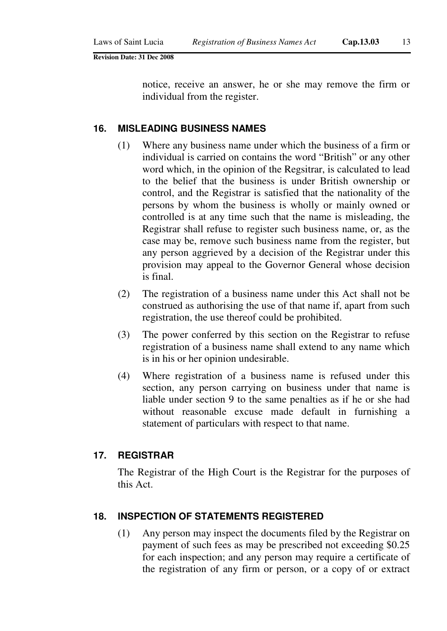notice, receive an answer, he or she may remove the firm or individual from the register.

#### **16. MISLEADING BUSINESS NAMES**

- (1) Where any business name under which the business of a firm or individual is carried on contains the word "British" or any other word which, in the opinion of the Regsitrar, is calculated to lead to the belief that the business is under British ownership or control, and the Registrar is satisfied that the nationality of the persons by whom the business is wholly or mainly owned or controlled is at any time such that the name is misleading, the Registrar shall refuse to register such business name, or, as the case may be, remove such business name from the register, but any person aggrieved by a decision of the Registrar under this provision may appeal to the Governor General whose decision is final.
- (2) The registration of a business name under this Act shall not be construed as authorising the use of that name if, apart from such registration, the use thereof could be prohibited.
- (3) The power conferred by this section on the Registrar to refuse registration of a business name shall extend to any name which is in his or her opinion undesirable.
- (4) Where registration of a business name is refused under this section, any person carrying on business under that name is liable under section 9 to the same penalties as if he or she had without reasonable excuse made default in furnishing a statement of particulars with respect to that name.

## **17. REGISTRAR**

The Registrar of the High Court is the Registrar for the purposes of this Act.

#### **18. INSPECTION OF STATEMENTS REGISTERED**

(1) Any person may inspect the documents filed by the Registrar on payment of such fees as may be prescribed not exceeding \$0.25 for each inspection; and any person may require a certificate of the registration of any firm or person, or a copy of or extract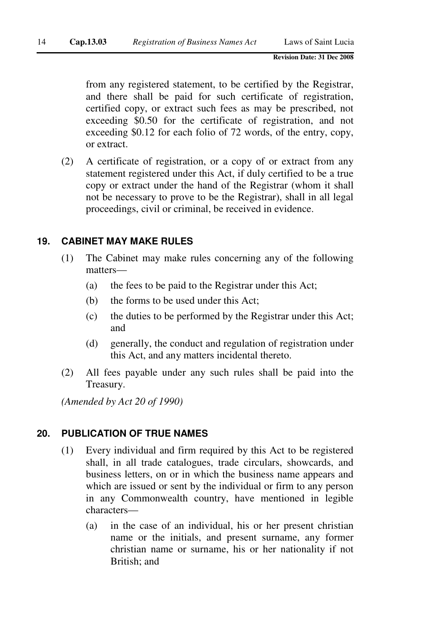from any registered statement, to be certified by the Registrar, and there shall be paid for such certificate of registration, certified copy, or extract such fees as may be prescribed, not exceeding \$0.50 for the certificate of registration, and not exceeding \$0.12 for each folio of 72 words, of the entry, copy, or extract.

(2) A certificate of registration, or a copy of or extract from any statement registered under this Act, if duly certified to be a true copy or extract under the hand of the Registrar (whom it shall not be necessary to prove to be the Registrar), shall in all legal proceedings, civil or criminal, be received in evidence.

# **19. CABINET MAY MAKE RULES**

- (1) The Cabinet may make rules concerning any of the following matters—
	- (a) the fees to be paid to the Registrar under this Act;
	- (b) the forms to be used under this Act;
	- (c) the duties to be performed by the Registrar under this Act; and
	- (d) generally, the conduct and regulation of registration under this Act, and any matters incidental thereto.
- (2) All fees payable under any such rules shall be paid into the Treasury.

*(Amended by Act 20 of 1990)* 

# **20. PUBLICATION OF TRUE NAMES**

- (1) Every individual and firm required by this Act to be registered shall, in all trade catalogues, trade circulars, showcards, and business letters, on or in which the business name appears and which are issued or sent by the individual or firm to any person in any Commonwealth country, have mentioned in legible characters—
	- (a) in the case of an individual, his or her present christian name or the initials, and present surname, any former christian name or surname, his or her nationality if not British; and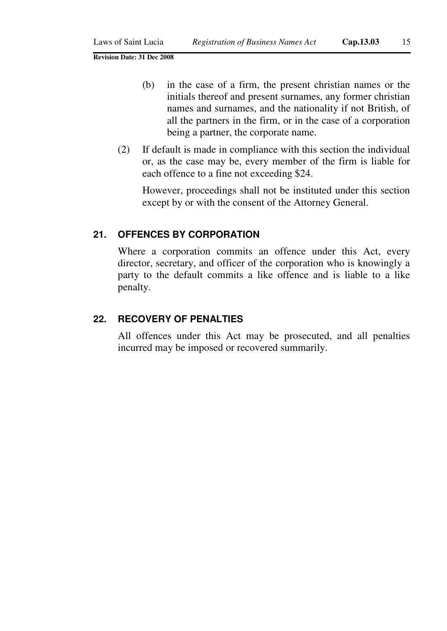- (b) in the case of a firm, the present christian names or the initials thereof and present surnames, any former christian names and surnames, and the nationality if not British, of all the partners in the firm, or in the case of a corporation being a partner, the corporate name.
- (2) If default is made in compliance with this section the individual or, as the case may be, every member of the firm is liable for each offence to a fine not exceeding \$24.

However, proceedings shall not be instituted under this section except by or with the consent of the Attorney General.

#### **21. OFFENCES BY CORPORATION**

Where a corporation commits an offence under this Act, every director, secretary, and officer of the corporation who is knowingly a party to the default commits a like offence and is liable to a like penalty.

## **22. RECOVERY OF PENALTIES**

All offences under this Act may be prosecuted, and all penalties incurred may be imposed or recovered summarily.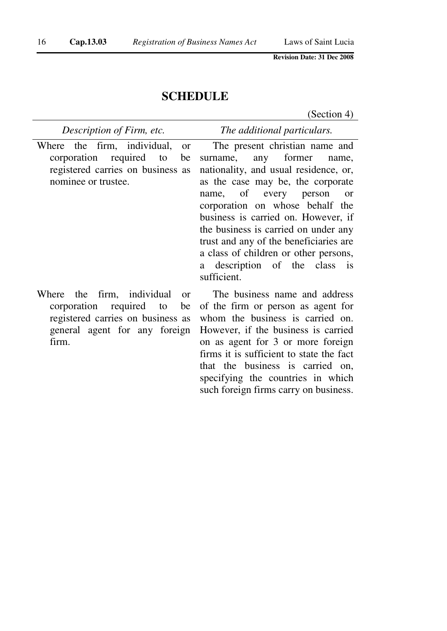# **SCHEDULE**

(Section 4)

| Description of Firm, etc.                    | The additional particulars.            |
|----------------------------------------------|----------------------------------------|
| Where the firm, individual,<br><sub>or</sub> | The present christian name and         |
| corporation required to<br>be                | surname, any former<br>name.           |
| registered carries on business as            | nationality, and usual residence, or,  |
| nominee or trustee.                          | as the case may be, the corporate      |
|                                              | name, of every person<br><b>or</b>     |
|                                              | corporation on whose behalf the        |
|                                              | business is carried on. However, if    |
|                                              | the business is carried on under any   |
|                                              | trust and any of the beneficiaries are |
|                                              | a class of children or other persons,  |
|                                              | a description of the class is          |
|                                              | sufficient.                            |
| Where the firm individual<br>$\alpha r$      | The business name and address          |

the firm, individual or corporation required to be registered carries on business as general agent for any foreign firm.

The business name and address of the firm or person as agent for whom the business is carried on. However, if the business is carried on as agent for 3 or more foreign firms it is sufficient to state the fact that the business is carried on, specifying the countries in which such foreign firms carry on business.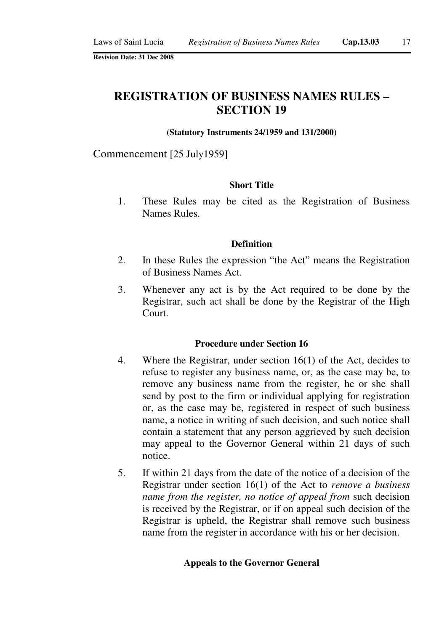# **REGISTRATION OF BUSINESS NAMES RULES – SECTION 19**

#### **(Statutory Instruments 24/1959 and 131/2000)**

Commencement [25 July1959]

#### **Short Title**

1. These Rules may be cited as the Registration of Business Names Rules.

#### **Definition**

- 2. In these Rules the expression "the Act" means the Registration of Business Names Act.
- 3. Whenever any act is by the Act required to be done by the Registrar, such act shall be done by the Registrar of the High Court.

#### **Procedure under Section 16**

- 4. Where the Registrar, under section 16(1) of the Act, decides to refuse to register any business name, or, as the case may be, to remove any business name from the register, he or she shall send by post to the firm or individual applying for registration or, as the case may be, registered in respect of such business name, a notice in writing of such decision, and such notice shall contain a statement that any person aggrieved by such decision may appeal to the Governor General within 21 days of such notice.
- 5. If within 21 days from the date of the notice of a decision of the Registrar under section 16(1) of the Act to *remove a business name from the register, no notice of appeal from* such decision is received by the Registrar, or if on appeal such decision of the Registrar is upheld, the Registrar shall remove such business name from the register in accordance with his or her decision.

#### **Appeals to the Governor General**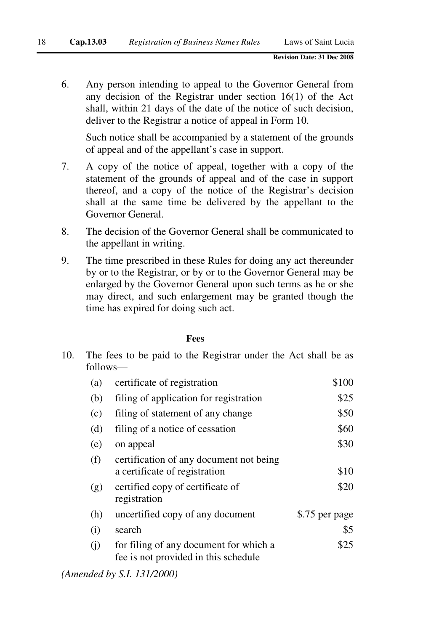6. Any person intending to appeal to the Governor General from any decision of the Registrar under section 16(1) of the Act shall, within 21 days of the date of the notice of such decision, deliver to the Registrar a notice of appeal in Form 10.

Such notice shall be accompanied by a statement of the grounds of appeal and of the appellant's case in support.

- 7. A copy of the notice of appeal, together with a copy of the statement of the grounds of appeal and of the case in support thereof, and a copy of the notice of the Registrar's decision shall at the same time be delivered by the appellant to the Governor General.
- 8. The decision of the Governor General shall be communicated to the appellant in writing.
- 9. The time prescribed in these Rules for doing any act thereunder by or to the Registrar, or by or to the Governor General may be enlarged by the Governor General upon such terms as he or she may direct, and such enlargement may be granted though the time has expired for doing such act.

#### **Fees**

10. The fees to be paid to the Registrar under the Act shall be as follows—

| (a) | certificate of registration                                                    | \$100          |
|-----|--------------------------------------------------------------------------------|----------------|
| (b) | filing of application for registration                                         | \$25           |
| (c) | filing of statement of any change                                              | \$50           |
| (d) | filing of a notice of cessation                                                | \$60           |
| (e) | on appeal                                                                      | \$30           |
| (f) | certification of any document not being<br>a certificate of registration       | \$10           |
| (g) | certified copy of certificate of<br>registration                               | \$20           |
| (h) | uncertified copy of any document                                               | \$.75 per page |
| (i) | search                                                                         | \$5            |
| (i) | for filing of any document for which a<br>fee is not provided in this schedule | \$25           |

*(Amended by S.I. 131/2000)*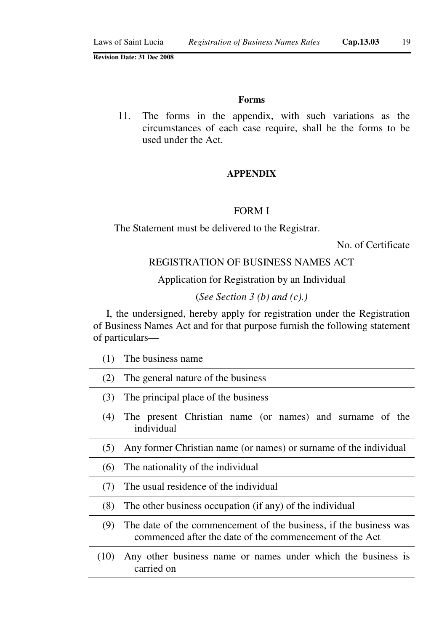#### **Forms**

11. The forms in the appendix, with such variations as the circumstances of each case require, shall be the forms to be used under the Act.

## **APPENDIX**

#### FORM I

The Statement must be delivered to the Registrar.

No. of Certificate

# REGISTRATION OF BUSINESS NAMES ACT

Application for Registration by an Individual

#### (*See Section 3 (b) and (c).)*

I, the undersigned, hereby apply for registration under the Registration of Business Names Act and for that purpose furnish the following statement of particulars—

| (1)  | The business name.                                                                                                           |  |  |
|------|------------------------------------------------------------------------------------------------------------------------------|--|--|
| (2)  | The general nature of the business                                                                                           |  |  |
| (3)  | The principal place of the business                                                                                          |  |  |
| (4)  | The present Christian name (or names) and surname of the<br>individual                                                       |  |  |
| (5)  | Any former Christian name (or names) or surname of the individual                                                            |  |  |
| (6)  | The nationality of the individual                                                                                            |  |  |
| (7)  | The usual residence of the individual                                                                                        |  |  |
| (8)  | The other business occupation (if any) of the individual                                                                     |  |  |
| (9)  | The date of the commencement of the business, if the business was<br>commenced after the date of the commencement of the Act |  |  |
| (10) | Any other business name or names under which the business is<br>carried on                                                   |  |  |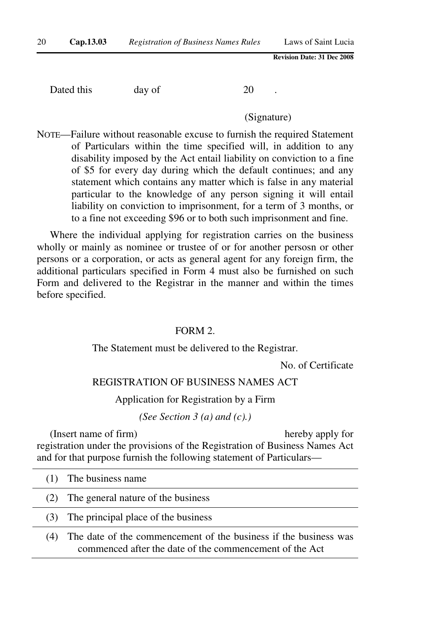Dated this day of 20

(Signature)

NOTE—Failure without reasonable excuse to furnish the required Statement of Particulars within the time specified will, in addition to any disability imposed by the Act entail liability on conviction to a fine of \$5 for every day during which the default continues; and any statement which contains any matter which is false in any material particular to the knowledge of any person signing it will entail liability on conviction to imprisonment, for a term of 3 months, or to a fine not exceeding \$96 or to both such imprisonment and fine.

Where the individual applying for registration carries on the business wholly or mainly as nominee or trustee of or for another persosn or other persons or a corporation, or acts as general agent for any foreign firm, the additional particulars specified in Form 4 must also be furnished on such Form and delivered to the Registrar in the manner and within the times before specified.

#### FORM 2.

The Statement must be delivered to the Registrar.

No. of Certificate

#### REGISTRATION OF BUSINESS NAMES ACT

Application for Registration by a Firm

*(See Section 3 (a) and (c).)*

(Insert name of firm) hereby apply for registration under the provisions of the Registration of Business Names Act and for that purpose furnish the following statement of Particulars—

|     | (1) The business name                                                                                                       |
|-----|-----------------------------------------------------------------------------------------------------------------------------|
| (2) | The general nature of the business                                                                                          |
| (3) | The principal place of the business                                                                                         |
| (4) | The date of the commencement of the business if the business was<br>commenced after the date of the commencement of the Act |
|     |                                                                                                                             |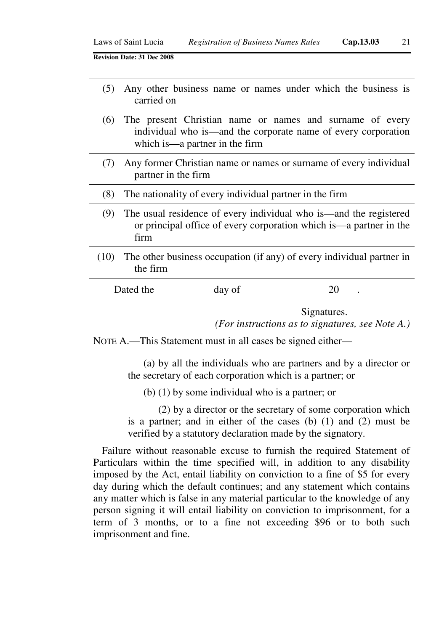- (5) Any other business name or names under which the business is carried on
- (6) The present Christian name or names and surname of every individual who is—and the corporate name of every corporation which is—a partner in the firm
- (7) Any former Christian name or names or surname of every individual partner in the firm
- (8) The nationality of every individual partner in the firm
	- (9) The usual residence of every individual who is—and the registered or principal office of every corporation which is—a partner in the firm
- (10) The other business occupation (if any) of every individual partner in the firm

| Dated the | day of | 20 |
|-----------|--------|----|
|-----------|--------|----|

Signatures.

*(For instructions as to signatures, see Note A.)*

NOTE A.—This Statement must in all cases be signed either—

(a) by all the individuals who are partners and by a director or the secretary of each corporation which is a partner; or

(b) (1) by some individual who is a partner; or

(2) by a director or the secretary of some corporation which is a partner; and in either of the cases (b) (1) and (2) must be verified by a statutory declaration made by the signatory.

Failure without reasonable excuse to furnish the required Statement of Particulars within the time specified will, in addition to any disability imposed by the Act, entail liability on conviction to a fine of \$5 for every day during which the default continues; and any statement which contains any matter which is false in any material particular to the knowledge of any person signing it will entail liability on conviction to imprisonment, for a term of 3 months, or to a fine not exceeding \$96 or to both such imprisonment and fine.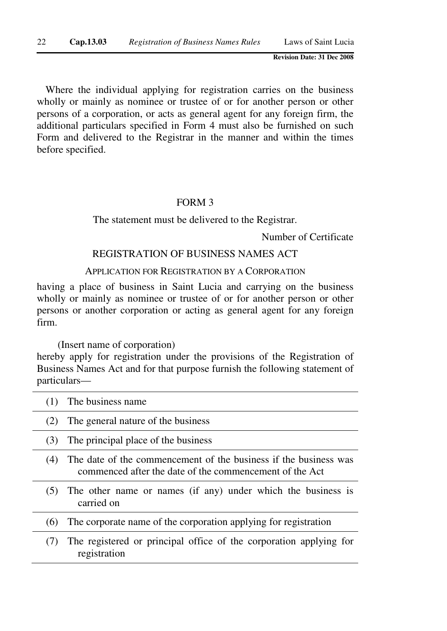Where the individual applying for registration carries on the business wholly or mainly as nominee or trustee of or for another person or other persons of a corporation, or acts as general agent for any foreign firm, the additional particulars specified in Form 4 must also be furnished on such Form and delivered to the Registrar in the manner and within the times before specified.

#### FORM 3

The statement must be delivered to the Registrar.

Number of Certificate

## REGISTRATION OF BUSINESS NAMES ACT

#### APPLICATION FOR REGISTRATION BY A CORPORATION

having a place of business in Saint Lucia and carrying on the business wholly or mainly as nominee or trustee of or for another person or other persons or another corporation or acting as general agent for any foreign firm.

(Insert name of corporation)

hereby apply for registration under the provisions of the Registration of Business Names Act and for that purpose furnish the following statement of particulars—

|     | The business name                                                                                                           |
|-----|-----------------------------------------------------------------------------------------------------------------------------|
| (2) | The general nature of the business                                                                                          |
| (3) | The principal place of the business                                                                                         |
| (4) | The date of the commencement of the business if the business was<br>commenced after the date of the commencement of the Act |
| (5) | The other name or names (if any) under which the business is<br>carried on                                                  |
| (6) | The corporate name of the corporation applying for registration                                                             |
|     | The registered or principal office of the corporation applying for<br>registration                                          |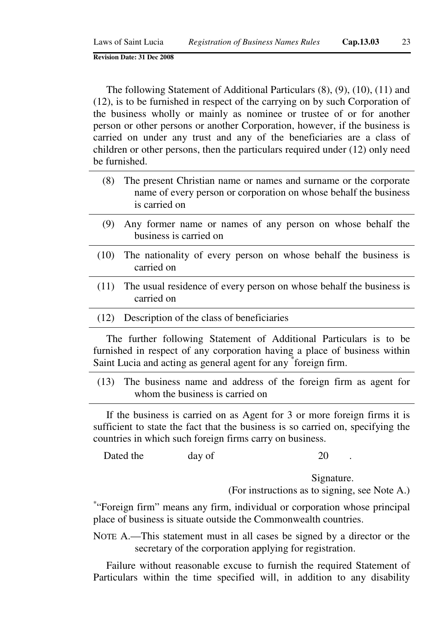The following Statement of Additional Particulars (8), (9), (10), (11) and (12), is to be furnished in respect of the carrying on by such Corporation of the business wholly or mainly as nominee or trustee of or for another person or other persons or another Corporation, however, if the business is carried on under any trust and any of the beneficiaries are a class of children or other persons, then the particulars required under (12) only need be furnished.

- (8) The present Christian name or names and surname or the corporate name of every person or corporation on whose behalf the business is carried on
- (9) Any former name or names of any person on whose behalf the business is carried on
- (10) The nationality of every person on whose behalf the business is carried on
- (11) The usual residence of every person on whose behalf the business is carried on
- (12) Description of the class of beneficiaries

The further following Statement of Additional Particulars is to be furnished in respect of any corporation having a place of business within Saint Lucia and acting as general agent for any \*foreign firm.

(13) The business name and address of the foreign firm as agent for whom the business is carried on

If the business is carried on as Agent for 3 or more foreign firms it is sufficient to state the fact that the business is so carried on, specifying the countries in which such foreign firms carry on business.

Dated the day of 20

Signature.

(For instructions as to signing, see Note A.)

\* "Foreign firm" means any firm, individual or corporation whose principal place of business is situate outside the Commonwealth countries.

NOTE A.—This statement must in all cases be signed by a director or the secretary of the corporation applying for registration.

Failure without reasonable excuse to furnish the required Statement of Particulars within the time specified will, in addition to any disability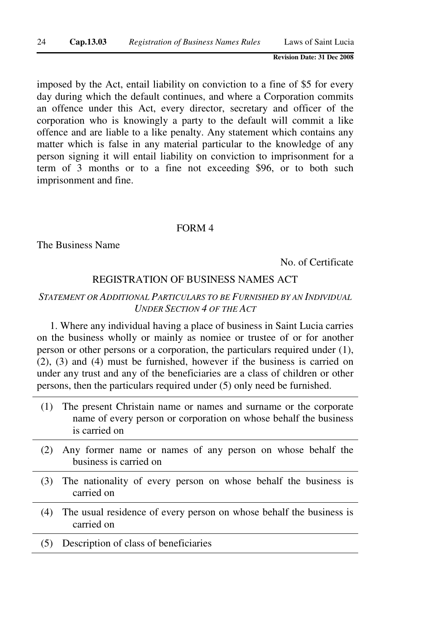imposed by the Act, entail liability on conviction to a fine of \$5 for every day during which the default continues, and where a Corporation commits an offence under this Act, every director, secretary and officer of the corporation who is knowingly a party to the default will commit a like offence and are liable to a like penalty. Any statement which contains any matter which is false in any material particular to the knowledge of any person signing it will entail liability on conviction to imprisonment for a term of 3 months or to a fine not exceeding \$96, or to both such imprisonment and fine.

#### FORM 4

The Business Name

No. of Certificate

## REGISTRATION OF BUSINESS NAMES ACT

## *STATEMENT OR ADDITIONAL PARTICULARS TO BE FURNISHED BY AN INDIVIDUAL UNDER SECTION 4 OF THE ACT*

1. Where any individual having a place of business in Saint Lucia carries on the business wholly or mainly as nomiee or trustee of or for another person or other persons or a corporation, the particulars required under (1), (2), (3) and (4) must be furnished, however if the business is carried on under any trust and any of the beneficiaries are a class of children or other persons, then the particulars required under (5) only need be furnished.

- (1) The present Christain name or names and surname or the corporate name of every person or corporation on whose behalf the business is carried on
- (2) Any former name or names of any person on whose behalf the business is carried on
- (3) The nationality of every person on whose behalf the business is carried on
- (4) The usual residence of every person on whose behalf the business is carried on
- (5) Description of class of beneficiaries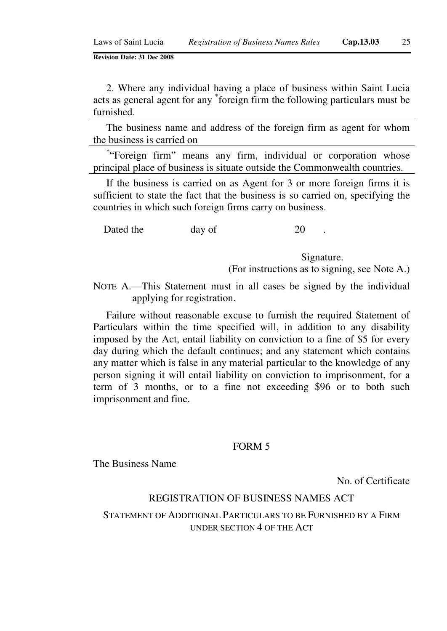2. Where any individual having a place of business within Saint Lucia acts as general agent for any \* foreign firm the following particulars must be furnished.

The business name and address of the foreign firm as agent for whom the business is carried on

\* "Foreign firm" means any firm, individual or corporation whose principal place of business is situate outside the Commonwealth countries.

If the business is carried on as Agent for 3 or more foreign firms it is sufficient to state the fact that the business is so carried on, specifying the countries in which such foreign firms carry on business.

Dated the day of 20

Signature.

(For instructions as to signing, see Note A.)

NOTE A.—This Statement must in all cases be signed by the individual applying for registration.

Failure without reasonable excuse to furnish the required Statement of Particulars within the time specified will, in addition to any disability imposed by the Act, entail liability on conviction to a fine of \$5 for every day during which the default continues; and any statement which contains any matter which is false in any material particular to the knowledge of any person signing it will entail liability on conviction to imprisonment, for a term of 3 months, or to a fine not exceeding \$96 or to both such imprisonment and fine.

#### FORM 5

The Business Name

No. of Certificate

## REGISTRATION OF BUSINESS NAMES ACT

STATEMENT OF ADDITIONAL PARTICULARS TO BE FURNISHED BY A FIRM UNDER SECTION 4 OF THE ACT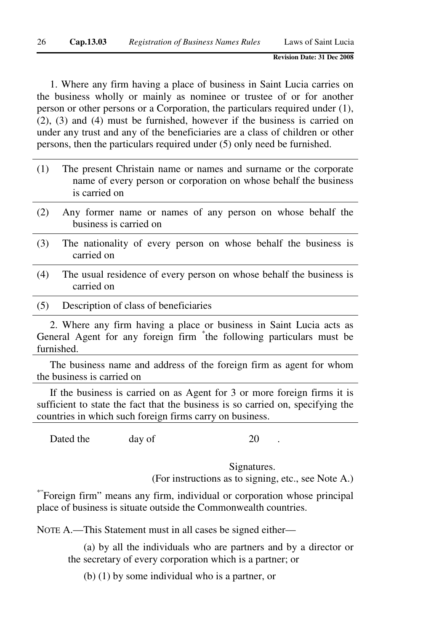1. Where any firm having a place of business in Saint Lucia carries on the business wholly or mainly as nominee or trustee of or for another person or other persons or a Corporation, the particulars required under (1), (2), (3) and (4) must be furnished, however if the business is carried on under any trust and any of the beneficiaries are a class of children or other persons, then the particulars required under (5) only need be furnished.

- (1) The present Christain name or names and surname or the corporate name of every person or corporation on whose behalf the business is carried on
- (2) Any former name or names of any person on whose behalf the business is carried on
- (3) The nationality of every person on whose behalf the business is carried on
- (4) The usual residence of every person on whose behalf the business is carried on
- (5) Description of class of beneficiaries

2. Where any firm having a place or business in Saint Lucia acts as General Agent for any foreign firm \* the following particulars must be furnished.

The business name and address of the foreign firm as agent for whom the business is carried on

If the business is carried on as Agent for 3 or more foreign firms it is sufficient to state the fact that the business is so carried on, specifying the countries in which such foreign firms carry on business.

Dated the day of 20

Signatures.

(For instructions as to signing, etc., see Note A.)

\*"Foreign firm" means any firm, individual or corporation whose principal place of business is situate outside the Commonwealth countries.

NOTE A.—This Statement must in all cases be signed either—

(a) by all the individuals who are partners and by a director or the secretary of every corporation which is a partner; or

(b) (1) by some individual who is a partner, or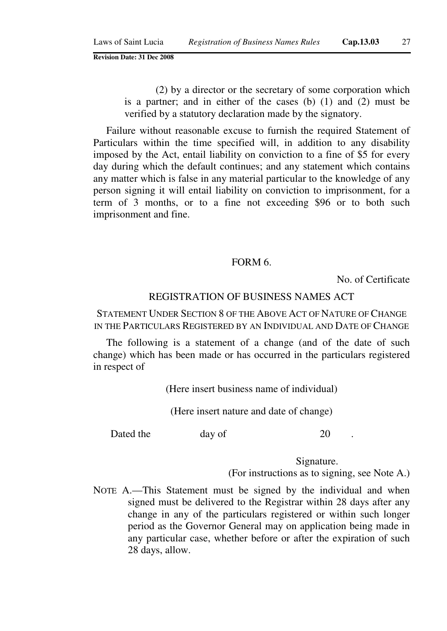(2) by a director or the secretary of some corporation which is a partner; and in either of the cases (b) (1) and (2) must be verified by a statutory declaration made by the signatory.

Failure without reasonable excuse to furnish the required Statement of Particulars within the time specified will, in addition to any disability imposed by the Act, entail liability on conviction to a fine of \$5 for every day during which the default continues; and any statement which contains any matter which is false in any material particular to the knowledge of any person signing it will entail liability on conviction to imprisonment, for a term of 3 months, or to a fine not exceeding \$96 or to both such imprisonment and fine.

#### FORM 6.

No. of Certificate

#### REGISTRATION OF BUSINESS NAMES ACT

STATEMENT UNDER SECTION 8 OF THE ABOVE ACT OF NATURE OF CHANGE IN THE PARTICULARS REGISTERED BY AN INDIVIDUAL AND DATE OF CHANGE

The following is a statement of a change (and of the date of such change) which has been made or has occurred in the particulars registered in respect of

(Here insert business name of individual)

(Here insert nature and date of change)

Dated the day of 20

Signature.

(For instructions as to signing, see Note A.)

NOTE A.—This Statement must be signed by the individual and when signed must be delivered to the Registrar within 28 days after any change in any of the particulars registered or within such longer period as the Governor General may on application being made in any particular case, whether before or after the expiration of such 28 days, allow.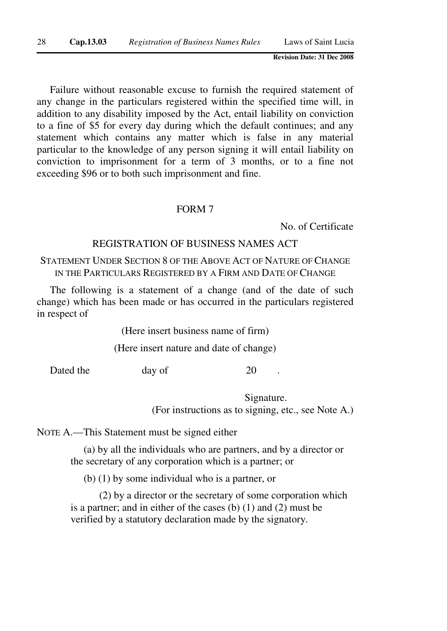Failure without reasonable excuse to furnish the required statement of any change in the particulars registered within the specified time will, in addition to any disability imposed by the Act, entail liability on conviction to a fine of \$5 for every day during which the default continues; and any statement which contains any matter which is false in any material particular to the knowledge of any person signing it will entail liability on conviction to imprisonment for a term of 3 months, or to a fine not exceeding \$96 or to both such imprisonment and fine.

#### FORM 7

No. of Certificate

## REGISTRATION OF BUSINESS NAMES ACT

## STATEMENT UNDER SECTION 8 OF THE ABOVE ACT OF NATURE OF CHANGE IN THE PARTICULARS REGISTERED BY A FIRM AND DATE OF CHANGE

The following is a statement of a change (and of the date of such change) which has been made or has occurred in the particulars registered in respect of

(Here insert business name of firm)

(Here insert nature and date of change)

Dated the day of 20

Signature. (For instructions as to signing, etc., see Note A.)

NOTE A.—This Statement must be signed either

(a) by all the individuals who are partners, and by a director or the secretary of any corporation which is a partner; or

(b) (1) by some individual who is a partner, or

(2) by a director or the secretary of some corporation which is a partner; and in either of the cases (b) (1) and (2) must be verified by a statutory declaration made by the signatory.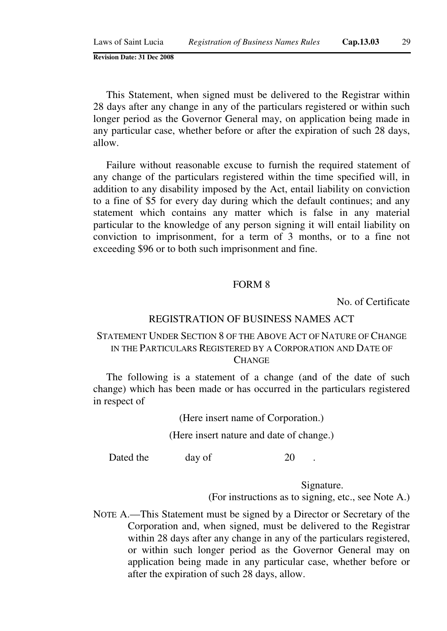This Statement, when signed must be delivered to the Registrar within 28 days after any change in any of the particulars registered or within such longer period as the Governor General may, on application being made in any particular case, whether before or after the expiration of such 28 days, allow.

Failure without reasonable excuse to furnish the required statement of any change of the particulars registered within the time specified will, in addition to any disability imposed by the Act, entail liability on conviction to a fine of \$5 for every day during which the default continues; and any statement which contains any matter which is false in any material particular to the knowledge of any person signing it will entail liability on conviction to imprisonment, for a term of 3 months, or to a fine not exceeding \$96 or to both such imprisonment and fine.

#### FORM 8

No. of Certificate

#### REGISTRATION OF BUSINESS NAMES ACT

# STATEMENT UNDER SECTION 8 OF THE ABOVE ACT OF NATURE OF CHANGE IN THE PARTICULARS REGISTERED BY A CORPORATION AND DATE OF **CHANGE**

The following is a statement of a change (and of the date of such change) which has been made or has occurred in the particulars registered in respect of

(Here insert name of Corporation.)

(Here insert nature and date of change.)

Dated the day of 20

Signature.

(For instructions as to signing, etc., see Note A.)

NOTE A.—This Statement must be signed by a Director or Secretary of the Corporation and, when signed, must be delivered to the Registrar within 28 days after any change in any of the particulars registered, or within such longer period as the Governor General may on application being made in any particular case, whether before or after the expiration of such 28 days, allow.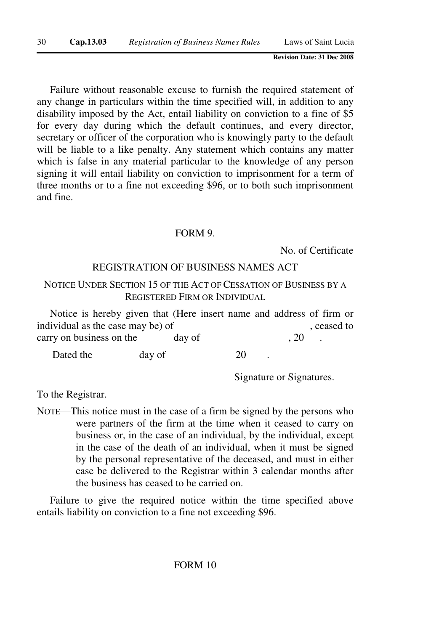Failure without reasonable excuse to furnish the required statement of any change in particulars within the time specified will, in addition to any disability imposed by the Act, entail liability on conviction to a fine of \$5 for every day during which the default continues, and every director, secretary or officer of the corporation who is knowingly party to the default will be liable to a like penalty. Any statement which contains any matter which is false in any material particular to the knowledge of any person signing it will entail liability on conviction to imprisonment for a term of three months or to a fine not exceeding \$96, or to both such imprisonment and fine.

#### FORM 9.

No. of Certificate

#### REGISTRATION OF BUSINESS NAMES ACT

# NOTICE UNDER SECTION 15 OF THE ACT OF CESSATION OF BUSINESS BY A REGISTERED FIRM OR INDIVIDUAL

Notice is hereby given that (Here insert name and address of firm or individual as the case may be) of , ceased to carry on business on the day of , 20 Dated the day of 20

Signature or Signatures.

To the Registrar.

NOTE—This notice must in the case of a firm be signed by the persons who were partners of the firm at the time when it ceased to carry on business or, in the case of an individual, by the individual, except in the case of the death of an individual, when it must be signed by the personal representative of the deceased, and must in either case be delivered to the Registrar within 3 calendar months after the business has ceased to be carried on.

Failure to give the required notice within the time specified above entails liability on conviction to a fine not exceeding \$96.

#### FORM 10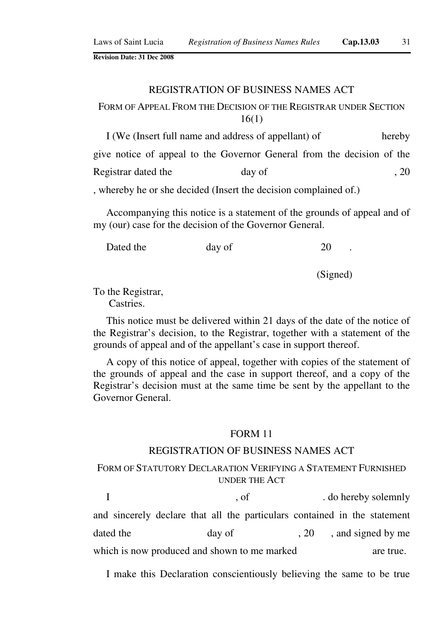#### REGISTRATION OF BUSINESS NAMES ACT

# FORM OF APPEAL FROM THE DECISION OF THE REGISTRAR UNDER SECTION 16(1)

I (We (Insert full name and address of appellant) of hereby give notice of appeal to the Governor General from the decision of the Registrar dated the day of , 20 , whereby he or she decided (Insert the decision complained of.)

Accompanying this notice is a statement of the grounds of appeal and of my (our) case for the decision of the Governor General.

Dated the day of 20

(Signed)

To the Registrar,

Castries.

This notice must be delivered within 21 days of the date of the notice of the Registrar's decision, to the Registrar, together with a statement of the grounds of appeal and of the appellant's case in support thereof.

A copy of this notice of appeal, together with copies of the statement of the grounds of appeal and the case in support thereof, and a copy of the Registrar's decision must at the same time be sent by the appellant to the Governor General.

#### FORM 11

#### REGISTRATION OF BUSINESS NAMES ACT

# FORM OF STATUTORY DECLARATION VERIFYING A STATEMENT FURNISHED UNDER THE ACT

I , of . do hereby solemnly and sincerely declare that all the particulars contained in the statement dated the day of  $\qquad \qquad$  20 , and signed by me which is now produced and shown to me marked are true.

I make this Declaration conscientiously believing the same to be true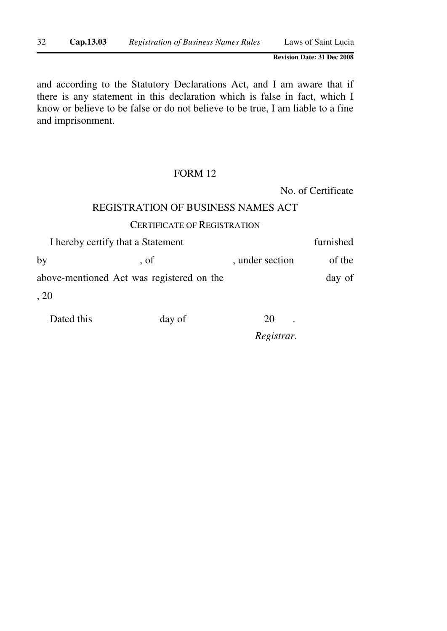and according to the Statutory Declarations Act, and I am aware that if there is any statement in this declaration which is false in fact, which I know or believe to be false or do not believe to be true, I am liable to a fine and imprisonment.

## FORM 12

No. of Certificate

# REGISTRATION OF BUSINESS NAMES ACT

#### CERTIFICATE OF REGISTRATION

|                                           | I hereby certify that a Statement |                 | furnished |
|-------------------------------------------|-----------------------------------|-----------------|-----------|
| by                                        | $\cdot$ of                        | , under section | of the    |
| above-mentioned Act was registered on the |                                   |                 | day of    |
| , 20                                      |                                   |                 |           |

Dated this day of 20 .

*Registrar*.